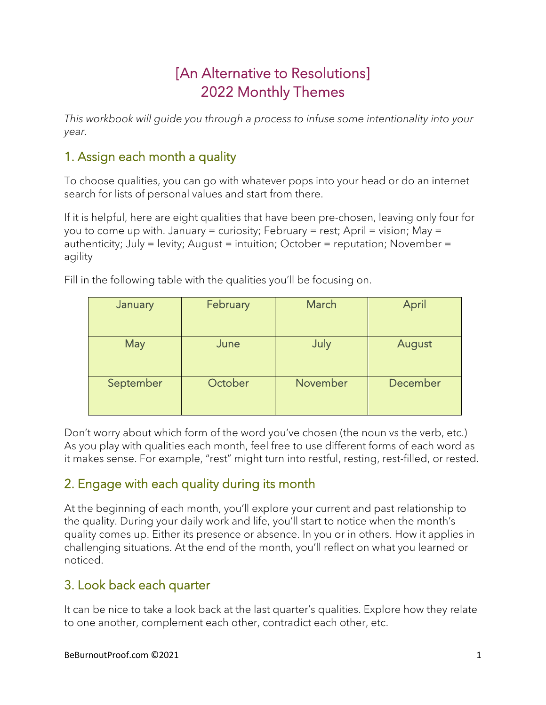# [An Alternative to Resolutions] 2022 Monthly Themes

*This workbook will guide you through a process to infuse some intentionality into your year.* 

## 1. Assign each month a quality

To choose qualities, you can go with whatever pops into your head or do an internet search for lists of personal values and start from there.

If it is helpful, here are eight qualities that have been pre-chosen, leaving only four for you to come up with. January = curiosity; February = rest; April = vision; May = authenticity; July = levity; August = intuition; October = reputation; November = agility

| January   | February | March    | April    |
|-----------|----------|----------|----------|
| May       | June     | July     | August   |
| September | October  | November | December |

Fill in the following table with the qualities you'll be focusing on.

Don't worry about which form of the word you've chosen (the noun vs the verb, etc.) As you play with qualities each month, feel free to use different forms of each word as it makes sense. For example, "rest" might turn into restful, resting, rest-filled, or rested.

## 2. Engage with each quality during its month

At the beginning of each month, you'll explore your current and past relationship to the quality. During your daily work and life, you'll start to notice when the month's quality comes up. Either its presence or absence. In you or in others. How it applies in challenging situations. At the end of the month, you'll reflect on what you learned or noticed.

## 3. Look back each quarter

It can be nice to take a look back at the last quarter's qualities. Explore how they relate to one another, complement each other, contradict each other, etc.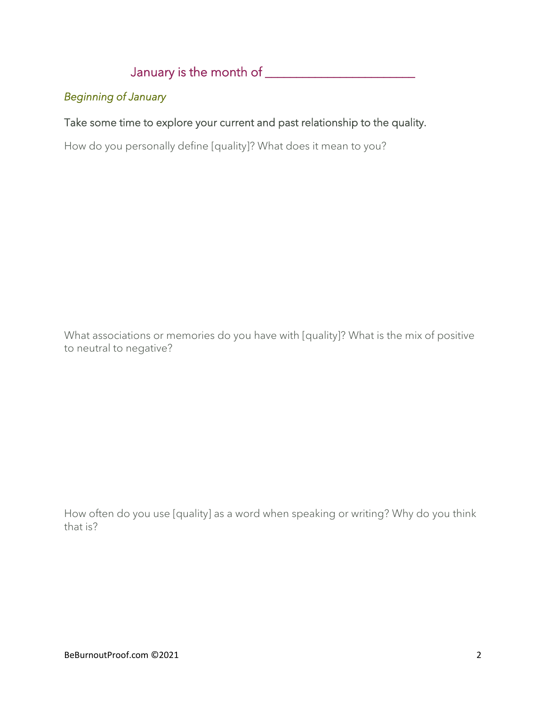January is the month of \_\_\_\_\_\_\_\_\_\_\_\_\_\_\_\_\_\_\_\_\_\_\_\_

### *Beginning of January*

### Take some time to explore your current and past relationship to the quality.

How do you personally define [quality]? What does it mean to you?

What associations or memories do you have with [quality]? What is the mix of positive to neutral to negative?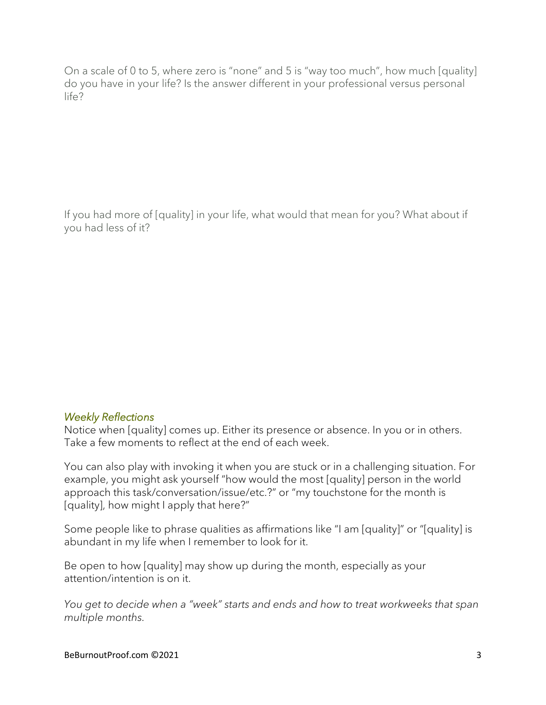If you had more of [quality] in your life, what would that mean for you? What about if you had less of it?

#### *Weekly Reflections*

Notice when [quality] comes up. Either its presence or absence. In you or in others. Take a few moments to reflect at the end of each week.

You can also play with invoking it when you are stuck or in a challenging situation. For example, you might ask yourself "how would the most [quality] person in the world approach this task/conversation/issue/etc.?" or "my touchstone for the month is [quality], how might I apply that here?"

Some people like to phrase qualities as affirmations like "I am [quality]" or "[quality] is abundant in my life when I remember to look for it.

Be open to how [quality] may show up during the month, especially as your attention/intention is on it.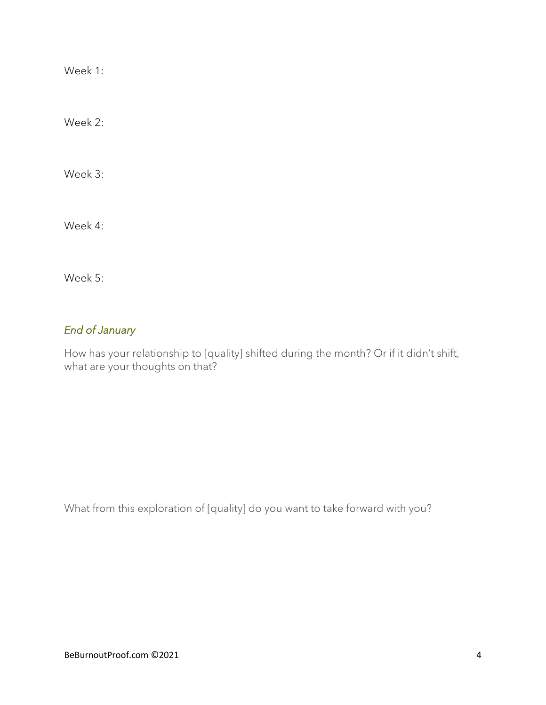Week 2:

Week 3:

Week 4:

Week 5:

### *End of January*

How has your relationship to [quality] shifted during the month? Or if it didn't shift, what are your thoughts on that?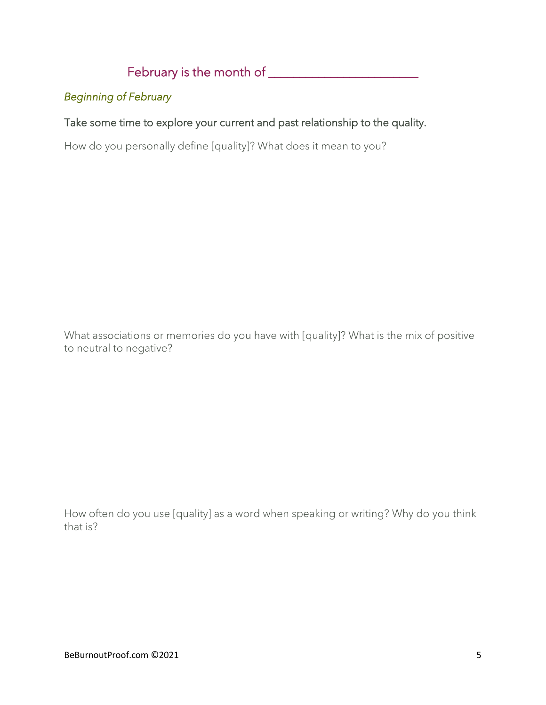# February is the month of \_\_\_\_\_\_\_\_\_\_\_\_\_\_\_\_\_\_\_\_\_\_\_\_

### *Beginning of February*

### Take some time to explore your current and past relationship to the quality.

How do you personally define [quality]? What does it mean to you?

What associations or memories do you have with [quality]? What is the mix of positive to neutral to negative?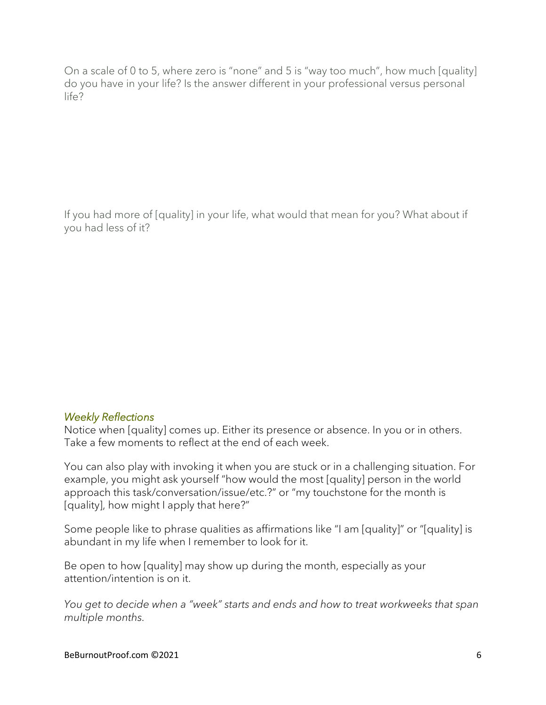If you had more of [quality] in your life, what would that mean for you? What about if you had less of it?

#### *Weekly Reflections*

Notice when [quality] comes up. Either its presence or absence. In you or in others. Take a few moments to reflect at the end of each week.

You can also play with invoking it when you are stuck or in a challenging situation. For example, you might ask yourself "how would the most [quality] person in the world approach this task/conversation/issue/etc.?" or "my touchstone for the month is [quality], how might I apply that here?"

Some people like to phrase qualities as affirmations like "I am [quality]" or "[quality] is abundant in my life when I remember to look for it.

Be open to how [quality] may show up during the month, especially as your attention/intention is on it.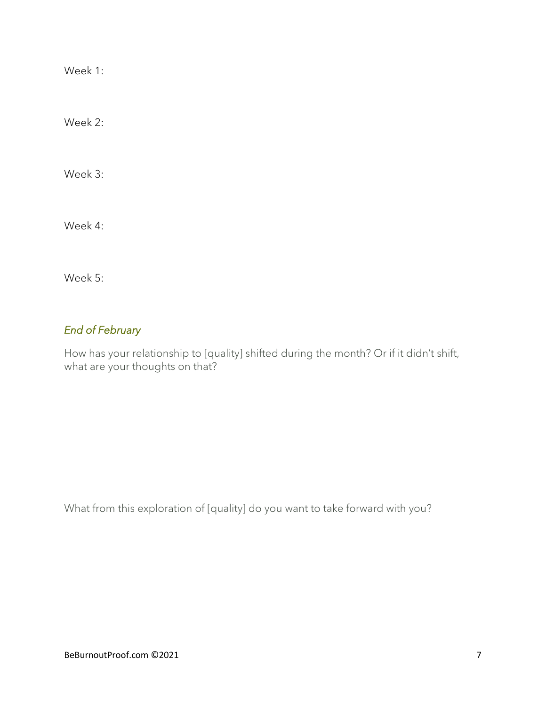Week 2:

Week 3:

Week 4:

Week 5:

### *End of February*

How has your relationship to [quality] shifted during the month? Or if it didn't shift, what are your thoughts on that?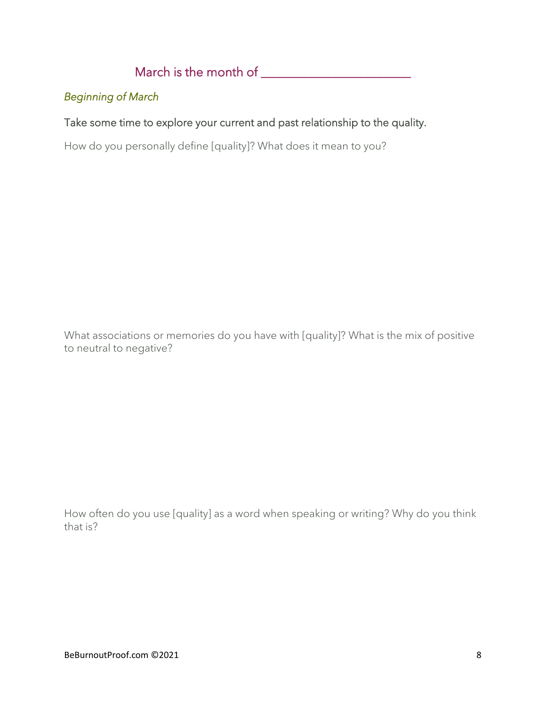# March is the month of \_\_\_\_\_\_\_\_\_\_\_\_\_\_\_\_\_\_\_\_\_\_\_\_

### *Beginning of March*

### Take some time to explore your current and past relationship to the quality.

How do you personally define [quality]? What does it mean to you?

What associations or memories do you have with [quality]? What is the mix of positive to neutral to negative?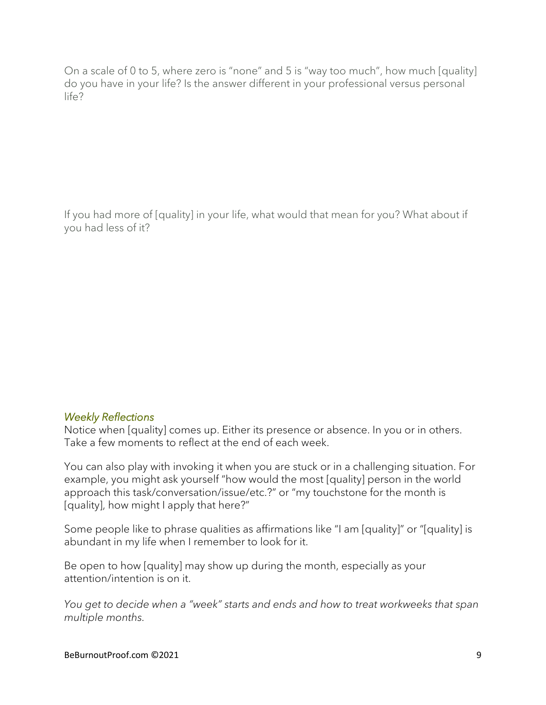If you had more of [quality] in your life, what would that mean for you? What about if you had less of it?

#### *Weekly Reflections*

Notice when [quality] comes up. Either its presence or absence. In you or in others. Take a few moments to reflect at the end of each week.

You can also play with invoking it when you are stuck or in a challenging situation. For example, you might ask yourself "how would the most [quality] person in the world approach this task/conversation/issue/etc.?" or "my touchstone for the month is [quality], how might I apply that here?"

Some people like to phrase qualities as affirmations like "I am [quality]" or "[quality] is abundant in my life when I remember to look for it.

Be open to how [quality] may show up during the month, especially as your attention/intention is on it.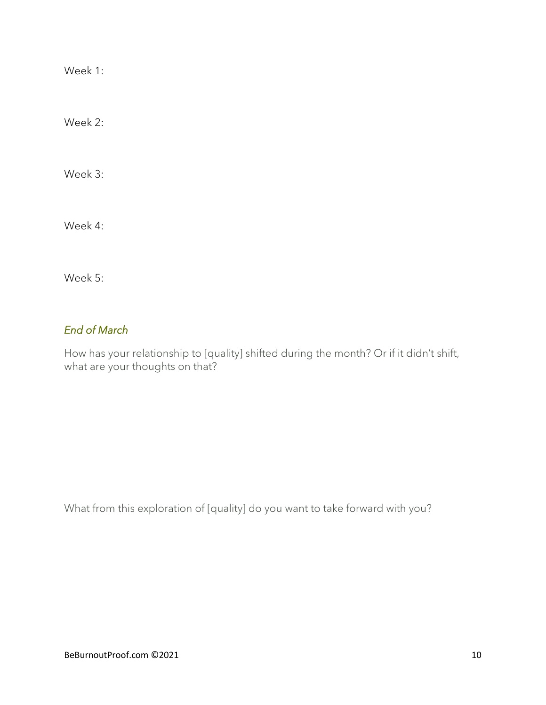Week 2:

Week 3:

Week 4:

Week 5:

### *End of March*

How has your relationship to [quality] shifted during the month? Or if it didn't shift, what are your thoughts on that?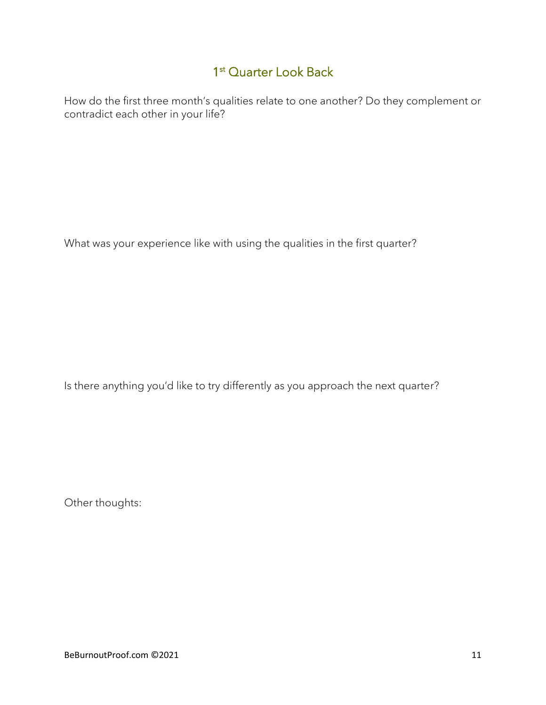## 1<sup>st</sup> Quarter Look Back

How do the first three month's qualities relate to one another? Do they complement or contradict each other in your life?

What was your experience like with using the qualities in the first quarter?

Is there anything you'd like to try differently as you approach the next quarter?

Other thoughts: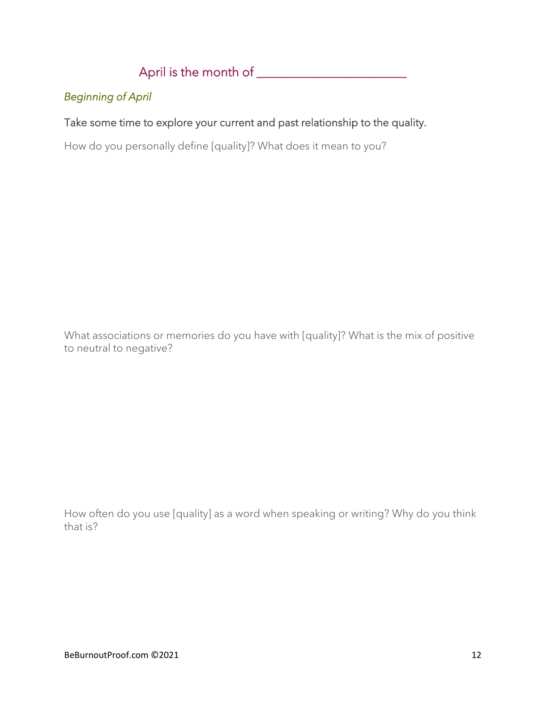## April is the month of \_\_\_\_\_\_\_\_\_\_\_\_\_\_\_\_\_\_\_\_\_\_\_\_

### *Beginning of April*

### Take some time to explore your current and past relationship to the quality.

How do you personally define [quality]? What does it mean to you?

What associations or memories do you have with [quality]? What is the mix of positive to neutral to negative?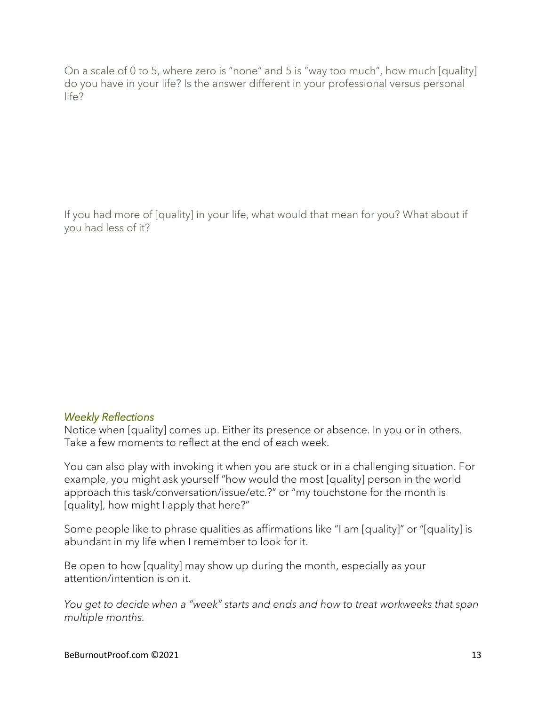If you had more of [quality] in your life, what would that mean for you? What about if you had less of it?

#### *Weekly Reflections*

Notice when [quality] comes up. Either its presence or absence. In you or in others. Take a few moments to reflect at the end of each week.

You can also play with invoking it when you are stuck or in a challenging situation. For example, you might ask yourself "how would the most [quality] person in the world approach this task/conversation/issue/etc.?" or "my touchstone for the month is [quality], how might I apply that here?"

Some people like to phrase qualities as affirmations like "I am [quality]" or "[quality] is abundant in my life when I remember to look for it.

Be open to how [quality] may show up during the month, especially as your attention/intention is on it.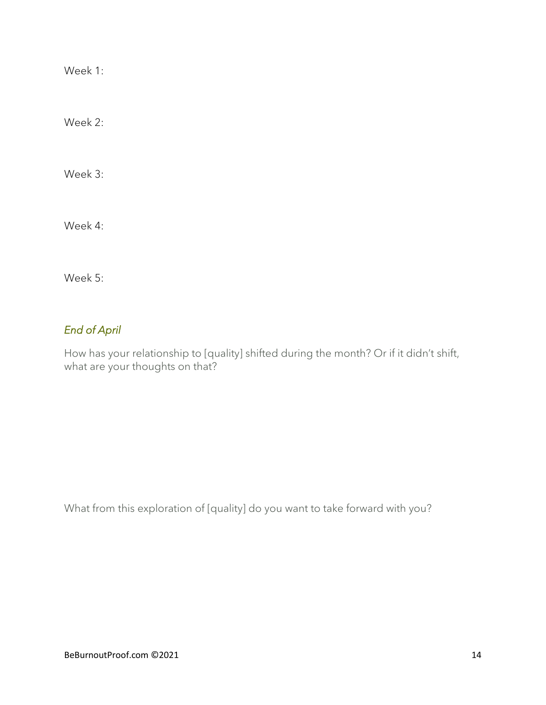Week 2:

Week 3:

Week 4:

Week 5:

### *End of April*

How has your relationship to [quality] shifted during the month? Or if it didn't shift, what are your thoughts on that?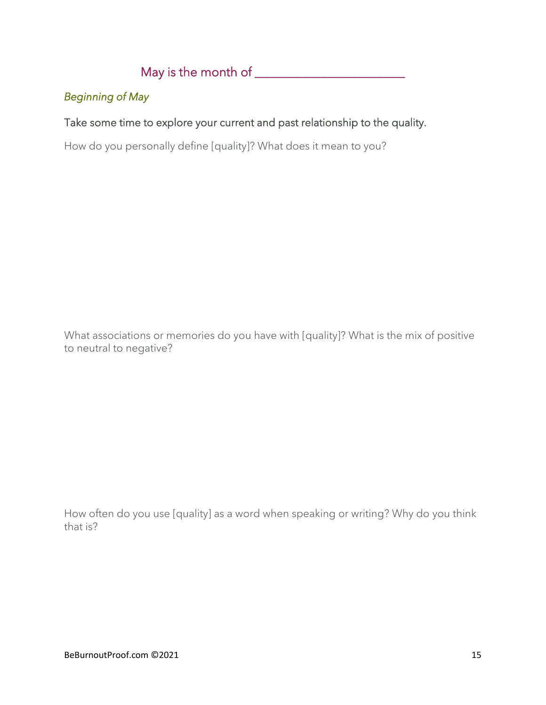## May is the month of  $\qquad \qquad$

### *Beginning of May*

### Take some time to explore your current and past relationship to the quality.

How do you personally define [quality]? What does it mean to you?

What associations or memories do you have with [quality]? What is the mix of positive to neutral to negative?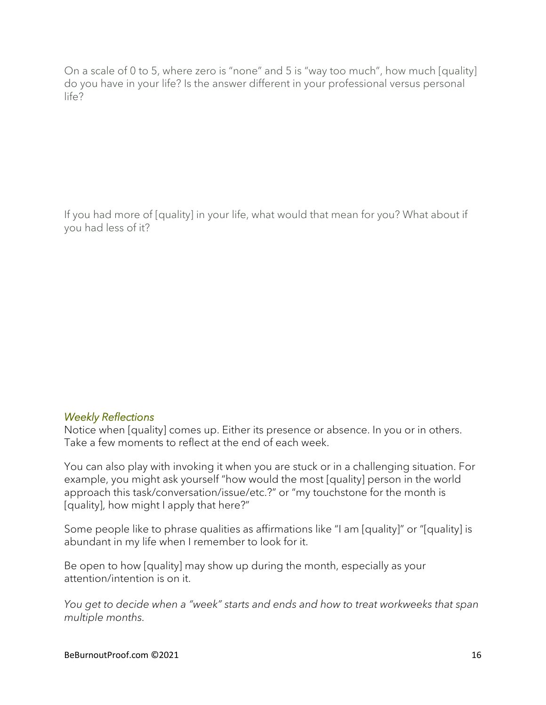If you had more of [quality] in your life, what would that mean for you? What about if you had less of it?

#### *Weekly Reflections*

Notice when [quality] comes up. Either its presence or absence. In you or in others. Take a few moments to reflect at the end of each week.

You can also play with invoking it when you are stuck or in a challenging situation. For example, you might ask yourself "how would the most [quality] person in the world approach this task/conversation/issue/etc.?" or "my touchstone for the month is [quality], how might I apply that here?"

Some people like to phrase qualities as affirmations like "I am [quality]" or "[quality] is abundant in my life when I remember to look for it.

Be open to how [quality] may show up during the month, especially as your attention/intention is on it.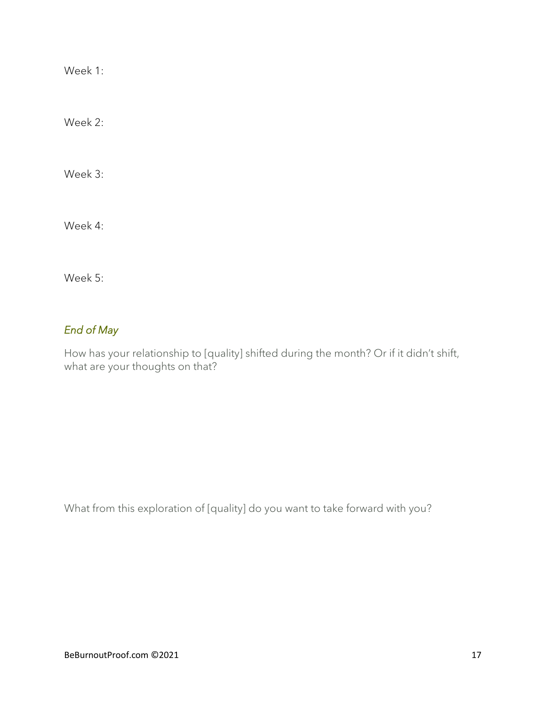Week 2:

Week 3:

Week 4:

Week 5:

## *End of May*

How has your relationship to [quality] shifted during the month? Or if it didn't shift, what are your thoughts on that?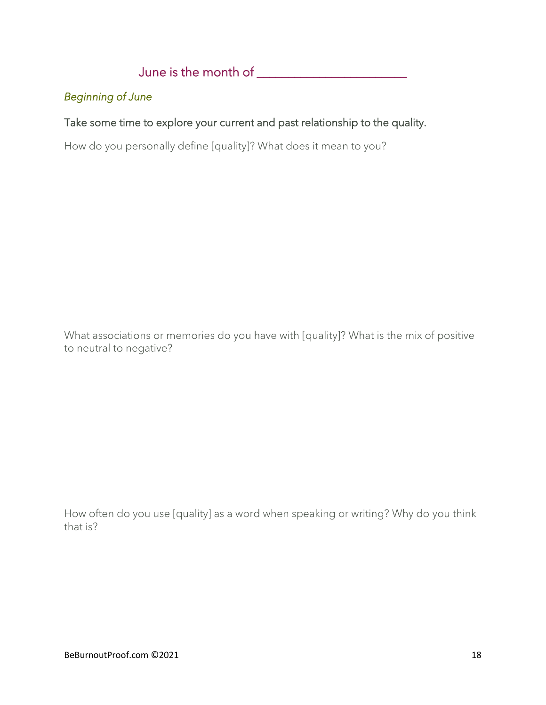## June is the month of \_\_\_\_\_\_\_\_\_\_\_\_\_\_\_\_\_\_\_\_\_\_\_\_

### *Beginning of June*

### Take some time to explore your current and past relationship to the quality.

How do you personally define [quality]? What does it mean to you?

What associations or memories do you have with [quality]? What is the mix of positive to neutral to negative?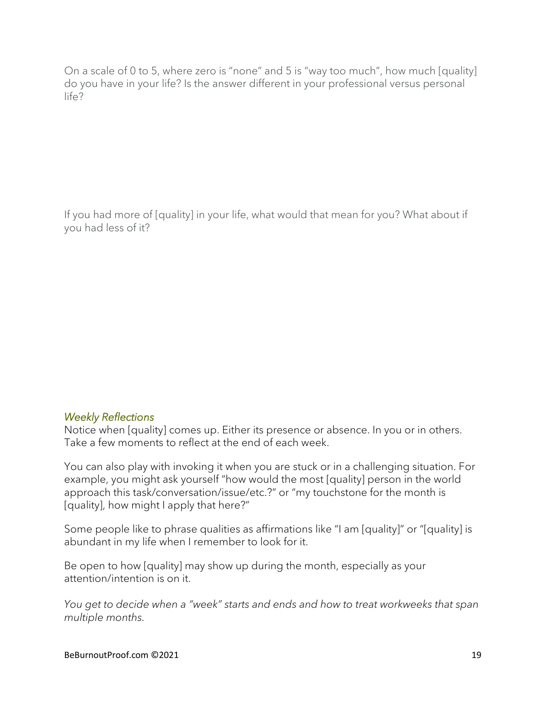If you had more of [quality] in your life, what would that mean for you? What about if you had less of it?

#### *Weekly Reflections*

Notice when [quality] comes up. Either its presence or absence. In you or in others. Take a few moments to reflect at the end of each week.

You can also play with invoking it when you are stuck or in a challenging situation. For example, you might ask yourself "how would the most [quality] person in the world approach this task/conversation/issue/etc.?" or "my touchstone for the month is [quality], how might I apply that here?"

Some people like to phrase qualities as affirmations like "I am [quality]" or "[quality] is abundant in my life when I remember to look for it.

Be open to how [quality] may show up during the month, especially as your attention/intention is on it.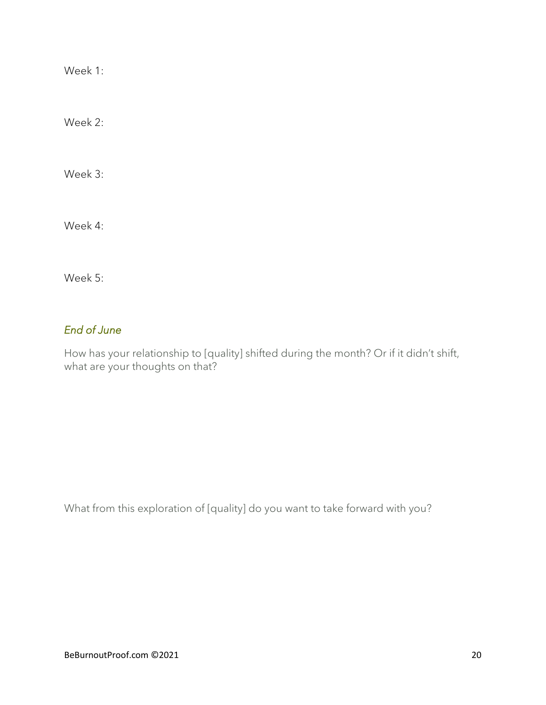Week 2:

Week 3:

Week 4:

Week 5:

### *End of June*

How has your relationship to [quality] shifted during the month? Or if it didn't shift, what are your thoughts on that?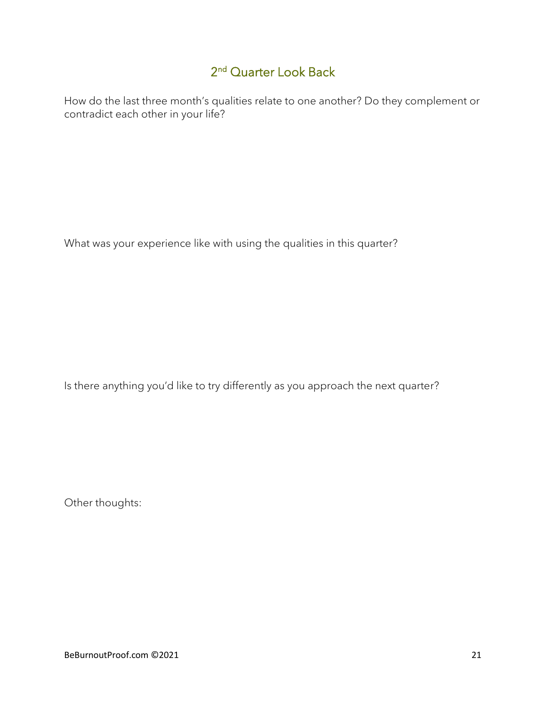## 2<sup>nd</sup> Quarter Look Back

How do the last three month's qualities relate to one another? Do they complement or contradict each other in your life?

What was your experience like with using the qualities in this quarter?

Is there anything you'd like to try differently as you approach the next quarter?

Other thoughts: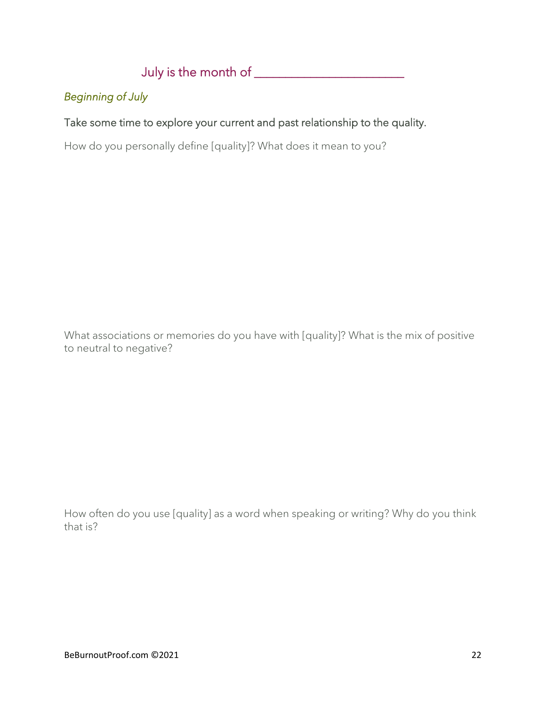## July is the month of \_\_\_\_\_\_\_\_\_\_\_\_\_\_\_\_\_\_\_\_\_\_\_\_

### *Beginning of July*

### Take some time to explore your current and past relationship to the quality.

How do you personally define [quality]? What does it mean to you?

What associations or memories do you have with [quality]? What is the mix of positive to neutral to negative?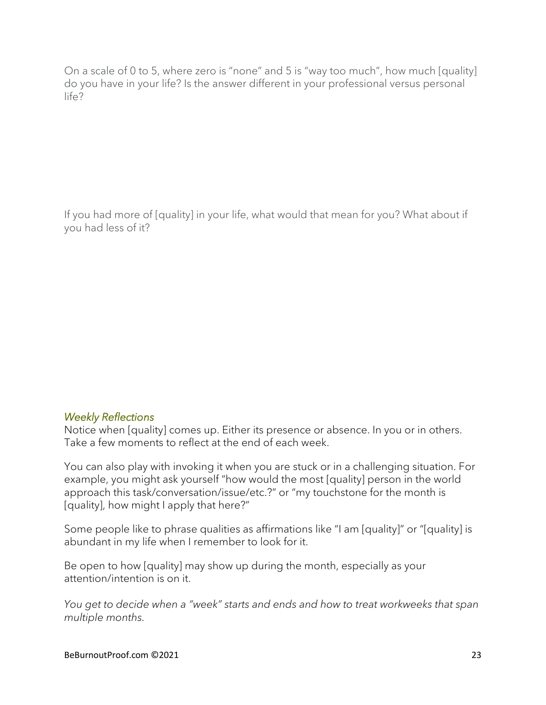If you had more of [quality] in your life, what would that mean for you? What about if you had less of it?

#### *Weekly Reflections*

Notice when [quality] comes up. Either its presence or absence. In you or in others. Take a few moments to reflect at the end of each week.

You can also play with invoking it when you are stuck or in a challenging situation. For example, you might ask yourself "how would the most [quality] person in the world approach this task/conversation/issue/etc.?" or "my touchstone for the month is [quality], how might I apply that here?"

Some people like to phrase qualities as affirmations like "I am [quality]" or "[quality] is abundant in my life when I remember to look for it.

Be open to how [quality] may show up during the month, especially as your attention/intention is on it.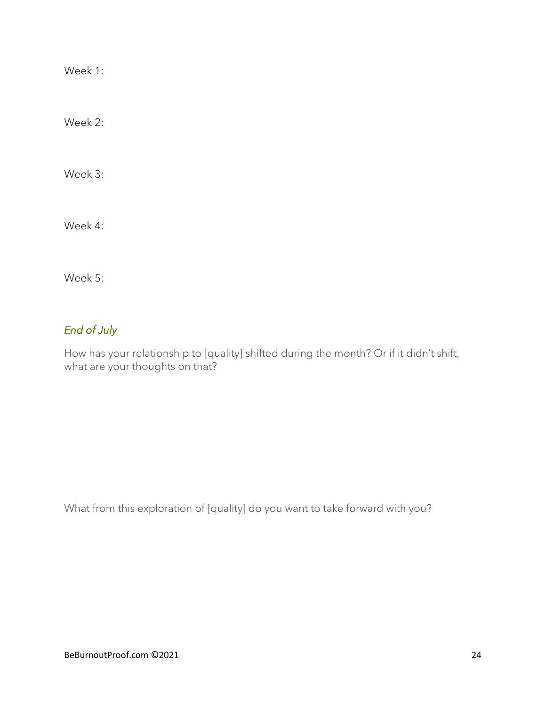Week 2:

Week 3:

Week 4:

Week 5:

## *End of July*

How has your relationship to [quality] shifted during the month? Or if it didn't shift, what are your thoughts on that?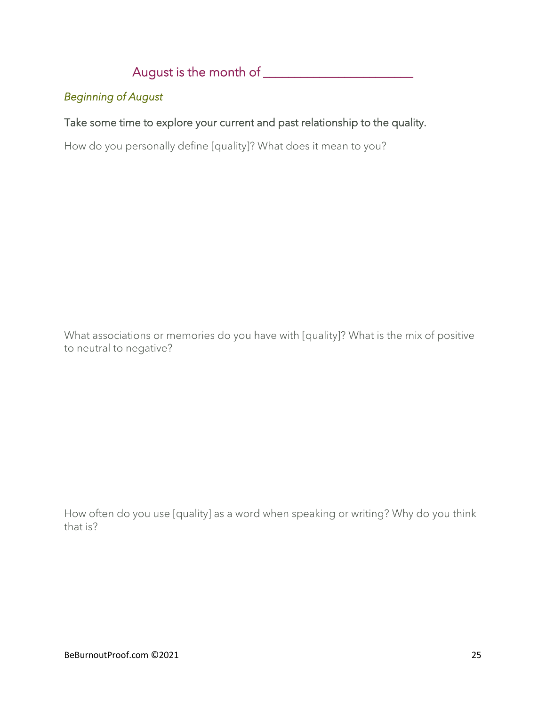## August is the month of \_\_\_\_\_\_\_\_\_\_\_\_\_\_\_\_\_\_\_\_\_\_\_\_

### *Beginning of August*

### Take some time to explore your current and past relationship to the quality.

How do you personally define [quality]? What does it mean to you?

What associations or memories do you have with [quality]? What is the mix of positive to neutral to negative?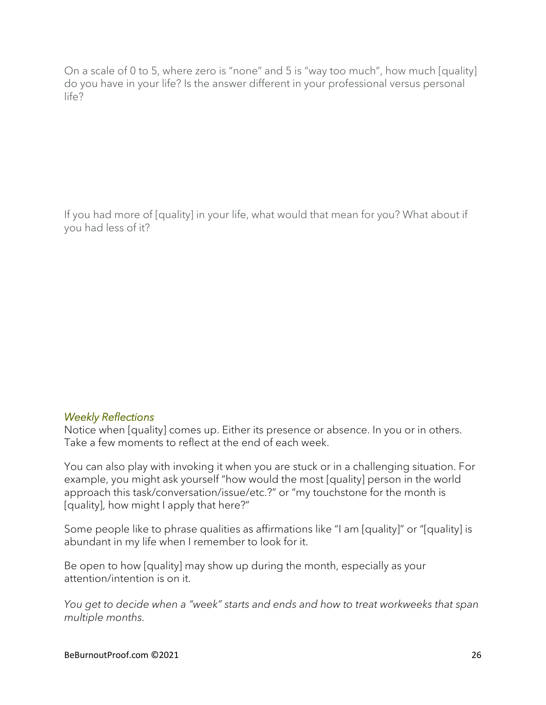If you had more of [quality] in your life, what would that mean for you? What about if you had less of it?

#### *Weekly Reflections*

Notice when [quality] comes up. Either its presence or absence. In you or in others. Take a few moments to reflect at the end of each week.

You can also play with invoking it when you are stuck or in a challenging situation. For example, you might ask yourself "how would the most [quality] person in the world approach this task/conversation/issue/etc.?" or "my touchstone for the month is [quality], how might I apply that here?"

Some people like to phrase qualities as affirmations like "I am [quality]" or "[quality] is abundant in my life when I remember to look for it.

Be open to how [quality] may show up during the month, especially as your attention/intention is on it.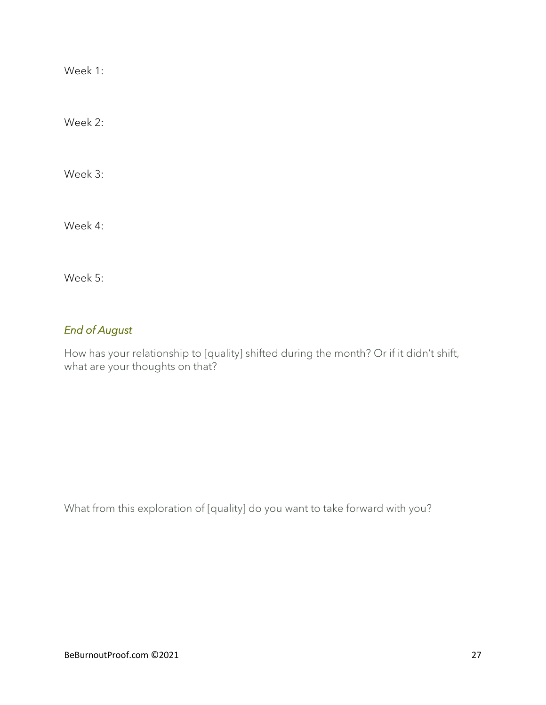Week 2:

Week 3:

Week 4:

Week 5:

## *End of August*

How has your relationship to [quality] shifted during the month? Or if it didn't shift, what are your thoughts on that?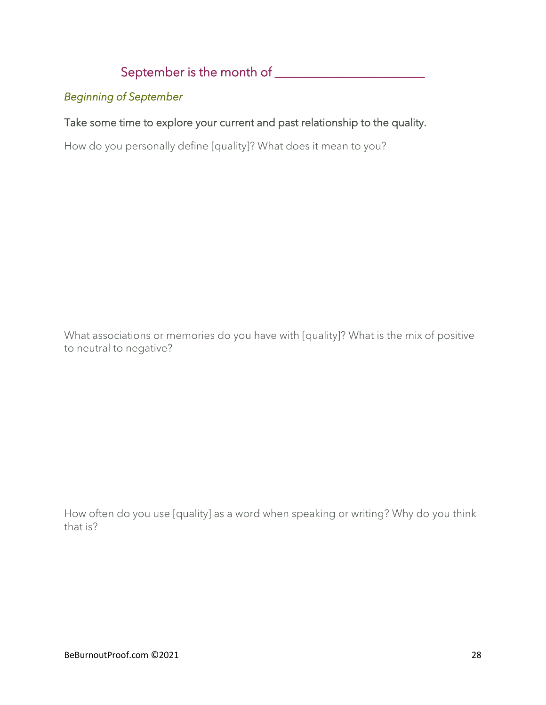## September is the month of \_\_\_\_\_\_\_\_\_\_\_\_\_\_\_\_\_\_\_\_\_\_\_\_

### *Beginning of September*

### Take some time to explore your current and past relationship to the quality.

How do you personally define [quality]? What does it mean to you?

What associations or memories do you have with [quality]? What is the mix of positive to neutral to negative?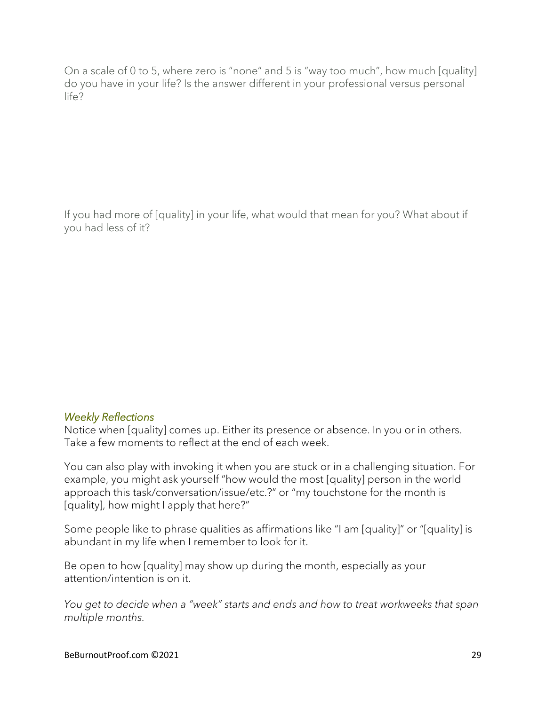If you had more of [quality] in your life, what would that mean for you? What about if you had less of it?

#### *Weekly Reflections*

Notice when [quality] comes up. Either its presence or absence. In you or in others. Take a few moments to reflect at the end of each week.

You can also play with invoking it when you are stuck or in a challenging situation. For example, you might ask yourself "how would the most [quality] person in the world approach this task/conversation/issue/etc.?" or "my touchstone for the month is [quality], how might I apply that here?"

Some people like to phrase qualities as affirmations like "I am [quality]" or "[quality] is abundant in my life when I remember to look for it.

Be open to how [quality] may show up during the month, especially as your attention/intention is on it.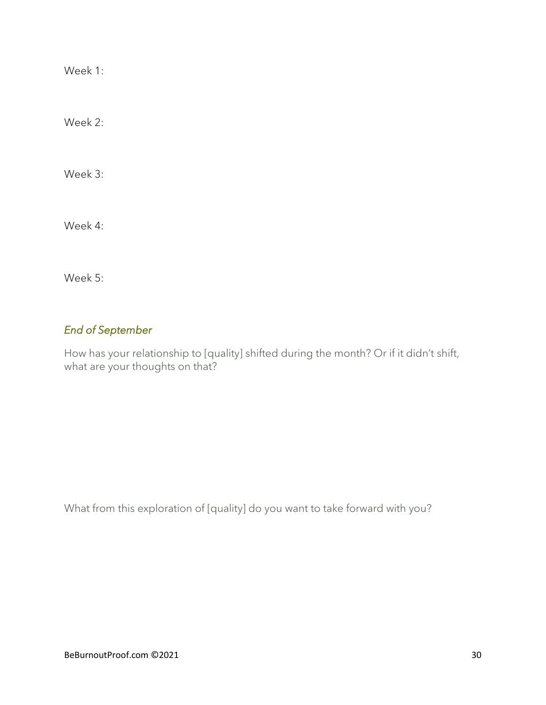Week 2:

Week 3:

Week 4:

Week 5:

### *End of September*

How has your relationship to [quality] shifted during the month? Or if it didn't shift, what are your thoughts on that?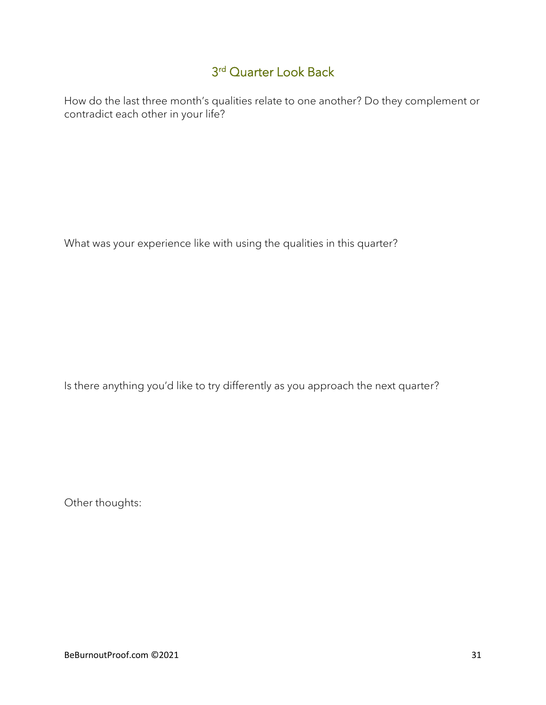## 3 rd Quarter Look Back

How do the last three month's qualities relate to one another? Do they complement or contradict each other in your life?

What was your experience like with using the qualities in this quarter?

Is there anything you'd like to try differently as you approach the next quarter?

Other thoughts: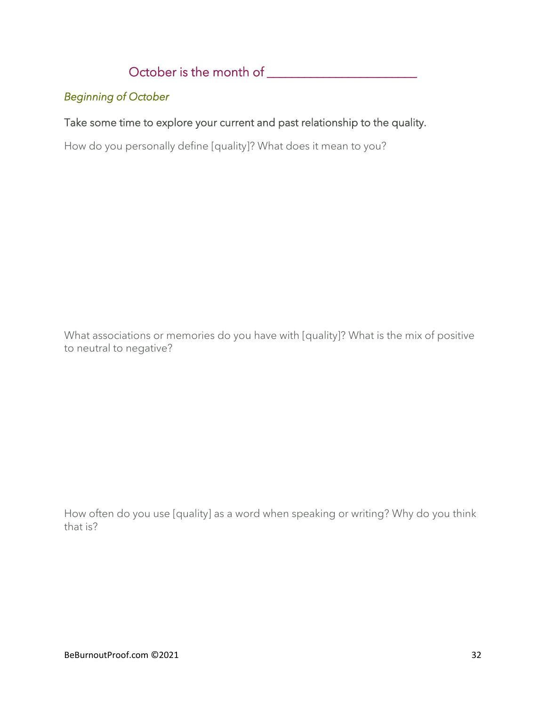October is the month of \_\_\_\_\_\_\_\_\_\_\_\_\_\_\_\_\_\_\_\_\_\_\_\_

## *Beginning of October*

### Take some time to explore your current and past relationship to the quality.

How do you personally define [quality]? What does it mean to you?

What associations or memories do you have with [quality]? What is the mix of positive to neutral to negative?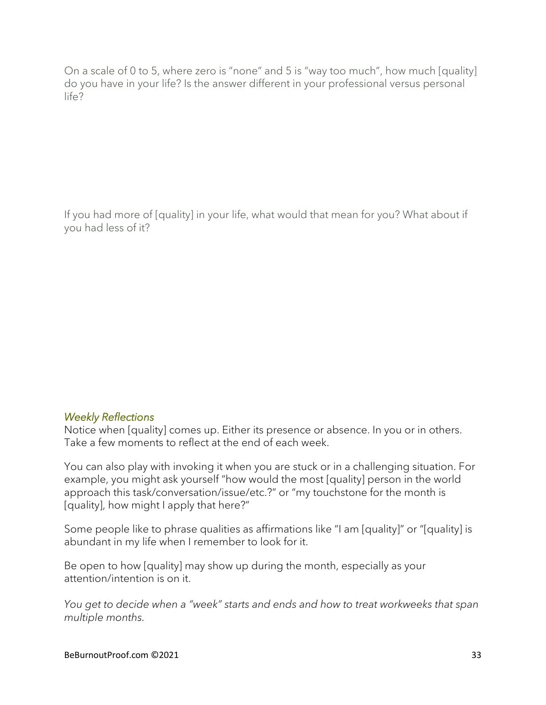If you had more of [quality] in your life, what would that mean for you? What about if you had less of it?

#### *Weekly Reflections*

Notice when [quality] comes up. Either its presence or absence. In you or in others. Take a few moments to reflect at the end of each week.

You can also play with invoking it when you are stuck or in a challenging situation. For example, you might ask yourself "how would the most [quality] person in the world approach this task/conversation/issue/etc.?" or "my touchstone for the month is [quality], how might I apply that here?"

Some people like to phrase qualities as affirmations like "I am [quality]" or "[quality] is abundant in my life when I remember to look for it.

Be open to how [quality] may show up during the month, especially as your attention/intention is on it.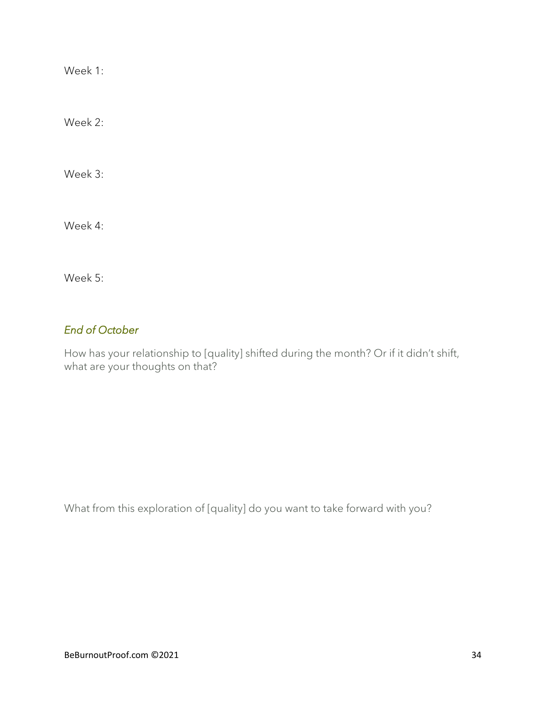Week 2:

Week 3:

Week 4:

Week 5:

### *End of October*

How has your relationship to [quality] shifted during the month? Or if it didn't shift, what are your thoughts on that?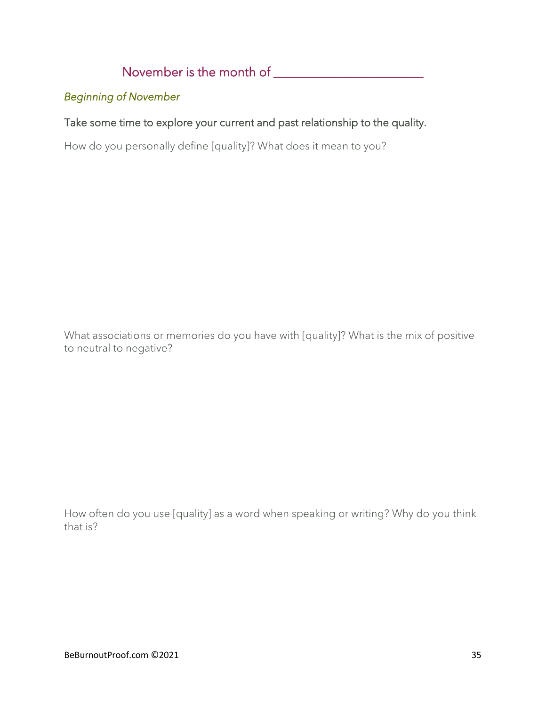November is the month of \_\_\_\_\_\_\_\_\_\_\_\_\_\_\_\_\_\_\_\_\_\_\_\_

### *Beginning of November*

### Take some time to explore your current and past relationship to the quality.

How do you personally define [quality]? What does it mean to you?

What associations or memories do you have with [quality]? What is the mix of positive to neutral to negative?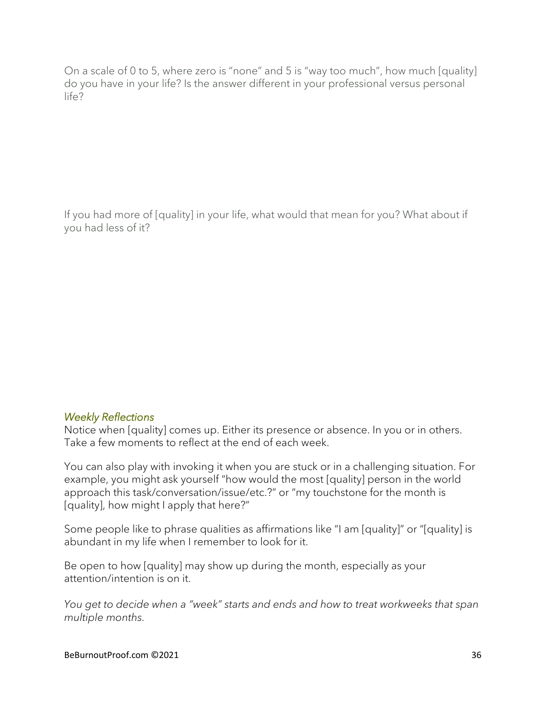If you had more of [quality] in your life, what would that mean for you? What about if you had less of it?

#### *Weekly Reflections*

Notice when [quality] comes up. Either its presence or absence. In you or in others. Take a few moments to reflect at the end of each week.

You can also play with invoking it when you are stuck or in a challenging situation. For example, you might ask yourself "how would the most [quality] person in the world approach this task/conversation/issue/etc.?" or "my touchstone for the month is [quality], how might I apply that here?"

Some people like to phrase qualities as affirmations like "I am [quality]" or "[quality] is abundant in my life when I remember to look for it.

Be open to how [quality] may show up during the month, especially as your attention/intention is on it.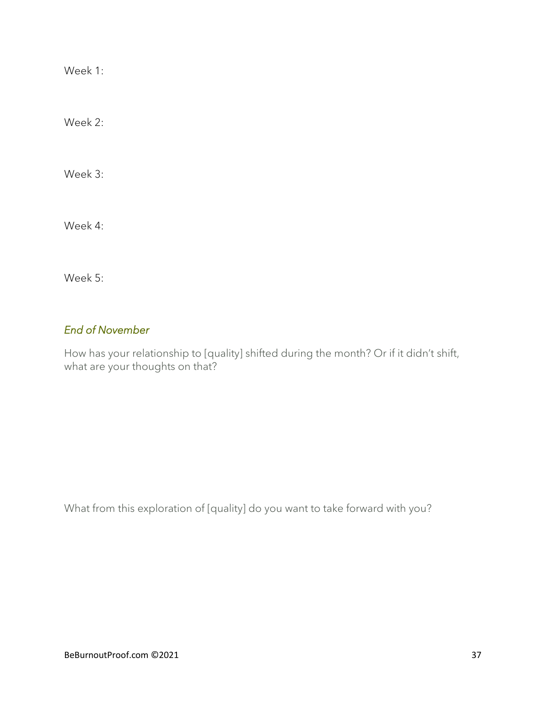Week 2:

Week 3:

Week 4:

Week 5:

### *End of November*

How has your relationship to [quality] shifted during the month? Or if it didn't shift, what are your thoughts on that?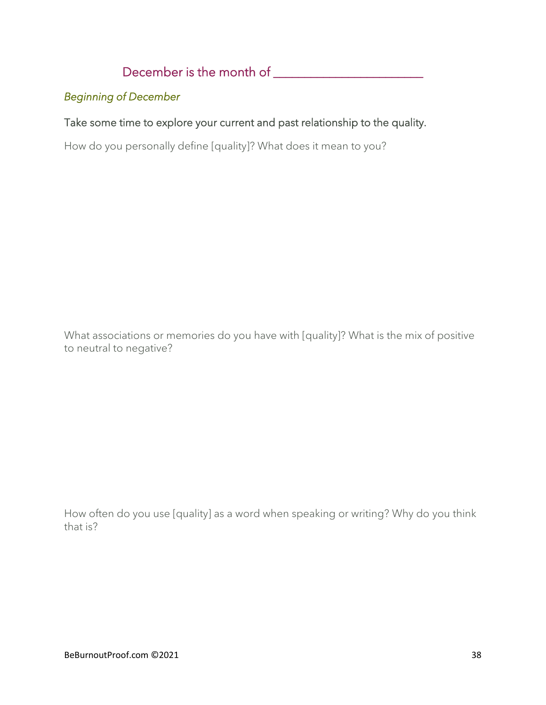December is the month of \_\_\_\_\_\_\_\_\_\_\_\_\_\_\_\_\_\_\_\_\_\_\_\_

### *Beginning of December*

### Take some time to explore your current and past relationship to the quality.

How do you personally define [quality]? What does it mean to you?

What associations or memories do you have with [quality]? What is the mix of positive to neutral to negative?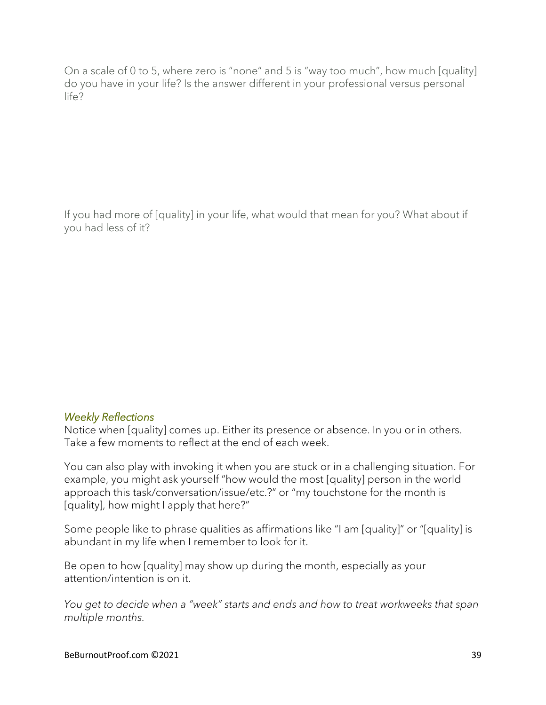If you had more of [quality] in your life, what would that mean for you? What about if you had less of it?

#### *Weekly Reflections*

Notice when [quality] comes up. Either its presence or absence. In you or in others. Take a few moments to reflect at the end of each week.

You can also play with invoking it when you are stuck or in a challenging situation. For example, you might ask yourself "how would the most [quality] person in the world approach this task/conversation/issue/etc.?" or "my touchstone for the month is [quality], how might I apply that here?"

Some people like to phrase qualities as affirmations like "I am [quality]" or "[quality] is abundant in my life when I remember to look for it.

Be open to how [quality] may show up during the month, especially as your attention/intention is on it.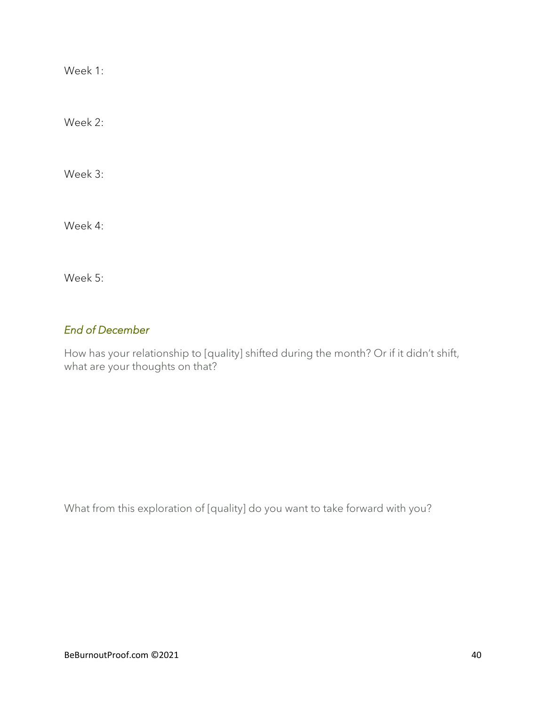Week 2:

Week 3:

Week 4:

Week 5:

### *End of December*

How has your relationship to [quality] shifted during the month? Or if it didn't shift, what are your thoughts on that?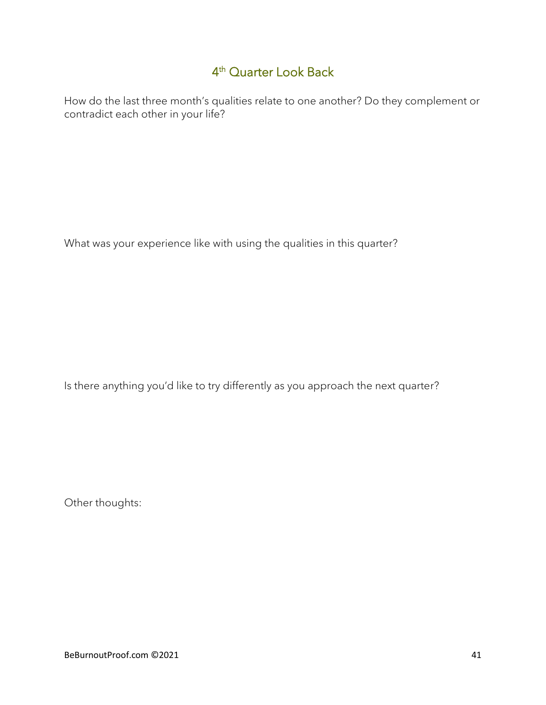## 4 th Quarter Look Back

How do the last three month's qualities relate to one another? Do they complement or contradict each other in your life?

What was your experience like with using the qualities in this quarter?

Is there anything you'd like to try differently as you approach the next quarter?

Other thoughts: